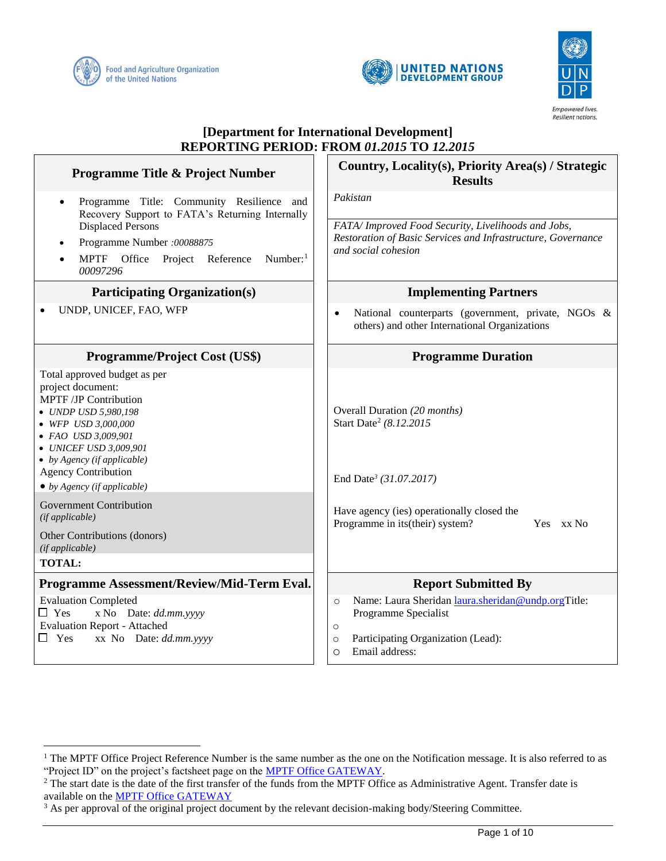

 $\overline{a}$ 





# **[Department for International Development] REPORTING PERIOD: FROM** *01.2015* **TO** *12.2015*

| Programme Title & Project Number                                                                                                                                                                                                                                                                                                                   | Country, Locality(s), Priority Area(s) / Strategic<br><b>Results</b>                                                                                                           |
|----------------------------------------------------------------------------------------------------------------------------------------------------------------------------------------------------------------------------------------------------------------------------------------------------------------------------------------------------|--------------------------------------------------------------------------------------------------------------------------------------------------------------------------------|
| Programme Title: Community Resilience and<br>$\bullet$<br>Recovery Support to FATA's Returning Internally                                                                                                                                                                                                                                          | Pakistan                                                                                                                                                                       |
| <b>Displaced Persons</b><br>Programme Number: 00088875<br>$\bullet$<br>MPTF Office Project Reference<br>Number: $1$<br>00097296                                                                                                                                                                                                                    | FATA/ Improved Food Security, Livelihoods and Jobs,<br>Restoration of Basic Services and Infrastructure, Governance<br>and social cohesion                                     |
| <b>Participating Organization(s)</b>                                                                                                                                                                                                                                                                                                               | <b>Implementing Partners</b>                                                                                                                                                   |
| UNDP, UNICEF, FAO, WFP                                                                                                                                                                                                                                                                                                                             | National counterparts (government, private, NGOs &<br>$\bullet$<br>others) and other International Organizations                                                               |
| <b>Programme/Project Cost (US\$)</b>                                                                                                                                                                                                                                                                                                               | <b>Programme Duration</b>                                                                                                                                                      |
| Total approved budget as per<br>project document:<br><b>MPTF /JP Contribution</b><br>• UNDP USD 5,980,198<br>• WFP USD 3,000,000<br>• FAO USD 3,009,901<br>• UNICEF USD 3,009,901<br>$\bullet$ by Agency (if applicable)<br><b>Agency Contribution</b><br>$\bullet$ by Agency (if applicable)<br><b>Government Contribution</b><br>(if applicable) | Overall Duration (20 months)<br>Start Date <sup>2</sup> (8.12.2015)<br>End Date <sup>3</sup> (31.07.2017)<br>Have agency (ies) operationally closed the<br>Yes xx No           |
| Other Contributions (donors)<br>(if applicable)<br><b>TOTAL:</b>                                                                                                                                                                                                                                                                                   | Programme in its(their) system?                                                                                                                                                |
| Programme Assessment/Review/Mid-Term Eval.                                                                                                                                                                                                                                                                                                         | <b>Report Submitted By</b>                                                                                                                                                     |
| <b>Evaluation Completed</b><br>$\Box$ Yes<br>x No Date: dd.mm.yyyy<br><b>Evaluation Report - Attached</b><br>xx No Date: dd.mm.yyyy<br>$\Box$ Yes                                                                                                                                                                                                  | Name: Laura Sheridan laura.sheridan@undp.orgTitle:<br>$\circ$<br>Programme Specialist<br>$\circ$<br>Participating Organization (Lead):<br>$\circ$<br>Email address:<br>$\circ$ |

<sup>&</sup>lt;sup>1</sup> The MPTF Office Project Reference Number is the same number as the one on the Notification message. It is also referred to as "Project ID" on the project's factsheet page on the [MPTF Office GATEWAY.](http://mdtf.undp.org/)

<sup>&</sup>lt;sup>2</sup> The start date is the date of the first transfer of the funds from the MPTF Office as Administrative Agent. Transfer date is available on the [MPTF Office GATEWAY](http://mdtf.undp.org/)

<sup>&</sup>lt;sup>3</sup> As per approval of the original project document by the relevant decision-making body/Steering Committee.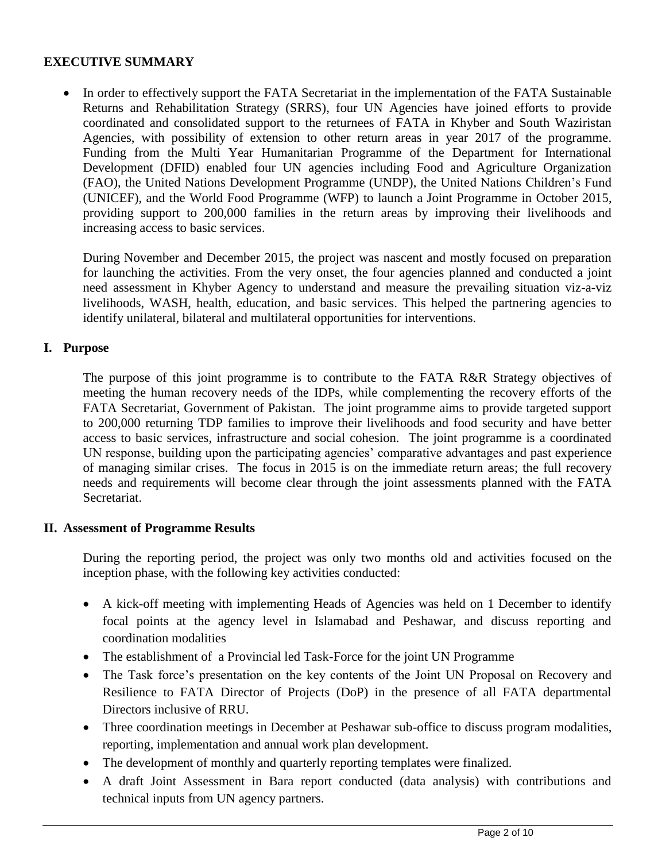## **EXECUTIVE SUMMARY**

• In order to effectively support the FATA Secretariat in the implementation of the FATA Sustainable Returns and Rehabilitation Strategy (SRRS), four UN Agencies have joined efforts to provide coordinated and consolidated support to the returnees of FATA in Khyber and South Waziristan Agencies, with possibility of extension to other return areas in year 2017 of the programme. Funding from the Multi Year Humanitarian Programme of the Department for International Development (DFID) enabled four UN agencies including Food and Agriculture Organization (FAO), the United Nations Development Programme (UNDP), the United Nations Children's Fund (UNICEF), and the World Food Programme (WFP) to launch a Joint Programme in October 2015, providing support to 200,000 families in the return areas by improving their livelihoods and increasing access to basic services.

During November and December 2015, the project was nascent and mostly focused on preparation for launching the activities. From the very onset, the four agencies planned and conducted a joint need assessment in Khyber Agency to understand and measure the prevailing situation viz-a-viz livelihoods, WASH, health, education, and basic services. This helped the partnering agencies to identify unilateral, bilateral and multilateral opportunities for interventions.

### **I. Purpose**

The purpose of this joint programme is to contribute to the FATA R&R Strategy objectives of meeting the human recovery needs of the IDPs, while complementing the recovery efforts of the FATA Secretariat, Government of Pakistan. The joint programme aims to provide targeted support to 200,000 returning TDP families to improve their livelihoods and food security and have better access to basic services, infrastructure and social cohesion. The joint programme is a coordinated UN response, building upon the participating agencies' comparative advantages and past experience of managing similar crises. The focus in 2015 is on the immediate return areas; the full recovery needs and requirements will become clear through the joint assessments planned with the FATA Secretariat.

#### **II. Assessment of Programme Results**

During the reporting period, the project was only two months old and activities focused on the inception phase, with the following key activities conducted:

- A kick-off meeting with implementing Heads of Agencies was held on 1 December to identify focal points at the agency level in Islamabad and Peshawar, and discuss reporting and coordination modalities
- The establishment of a Provincial led Task-Force for the joint UN Programme
- The Task force's presentation on the key contents of the Joint UN Proposal on Recovery and Resilience to FATA Director of Projects (DoP) in the presence of all FATA departmental Directors inclusive of RRU.
- Three coordination meetings in December at Peshawar sub-office to discuss program modalities, reporting, implementation and annual work plan development.
- The development of monthly and quarterly reporting templates were finalized.
- A draft Joint Assessment in Bara report conducted (data analysis) with contributions and technical inputs from UN agency partners.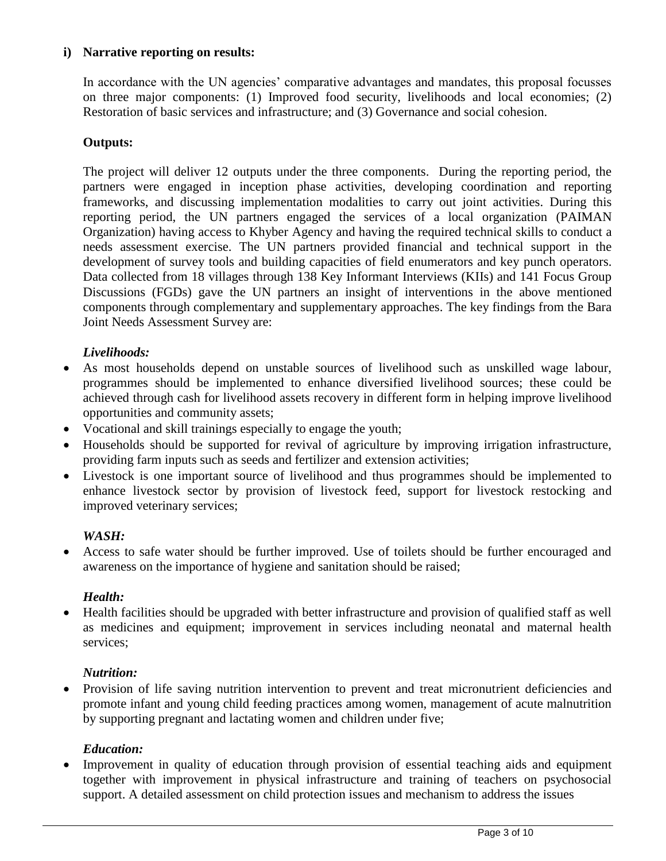## **i) Narrative reporting on results:**

In accordance with the UN agencies' comparative advantages and mandates, this proposal focusses on three major components: (1) Improved food security, livelihoods and local economies; (2) Restoration of basic services and infrastructure; and (3) Governance and social cohesion.

#### **Outputs:**

The project will deliver 12 outputs under the three components. During the reporting period, the partners were engaged in inception phase activities, developing coordination and reporting frameworks, and discussing implementation modalities to carry out joint activities. During this reporting period, the UN partners engaged the services of a local organization (PAIMAN Organization) having access to Khyber Agency and having the required technical skills to conduct a needs assessment exercise. The UN partners provided financial and technical support in the development of survey tools and building capacities of field enumerators and key punch operators. Data collected from 18 villages through 138 Key Informant Interviews (KIIs) and 141 Focus Group Discussions (FGDs) gave the UN partners an insight of interventions in the above mentioned components through complementary and supplementary approaches. The key findings from the Bara Joint Needs Assessment Survey are:

### *Livelihoods:*

- As most households depend on unstable sources of livelihood such as unskilled wage labour, programmes should be implemented to enhance diversified livelihood sources; these could be achieved through cash for livelihood assets recovery in different form in helping improve livelihood opportunities and community assets;
- Vocational and skill trainings especially to engage the youth;
- Households should be supported for revival of agriculture by improving irrigation infrastructure, providing farm inputs such as seeds and fertilizer and extension activities;
- Livestock is one important source of livelihood and thus programmes should be implemented to enhance livestock sector by provision of livestock feed, support for livestock restocking and improved veterinary services;

#### *WASH:*

 Access to safe water should be further improved. Use of toilets should be further encouraged and awareness on the importance of hygiene and sanitation should be raised;

#### *Health:*

 Health facilities should be upgraded with better infrastructure and provision of qualified staff as well as medicines and equipment; improvement in services including neonatal and maternal health services;

#### *Nutrition:*

• Provision of life saving nutrition intervention to prevent and treat micronutrient deficiencies and promote infant and young child feeding practices among women, management of acute malnutrition by supporting pregnant and lactating women and children under five;

#### *Education:*

• Improvement in quality of education through provision of essential teaching aids and equipment together with improvement in physical infrastructure and training of teachers on psychosocial support. A detailed assessment on child protection issues and mechanism to address the issues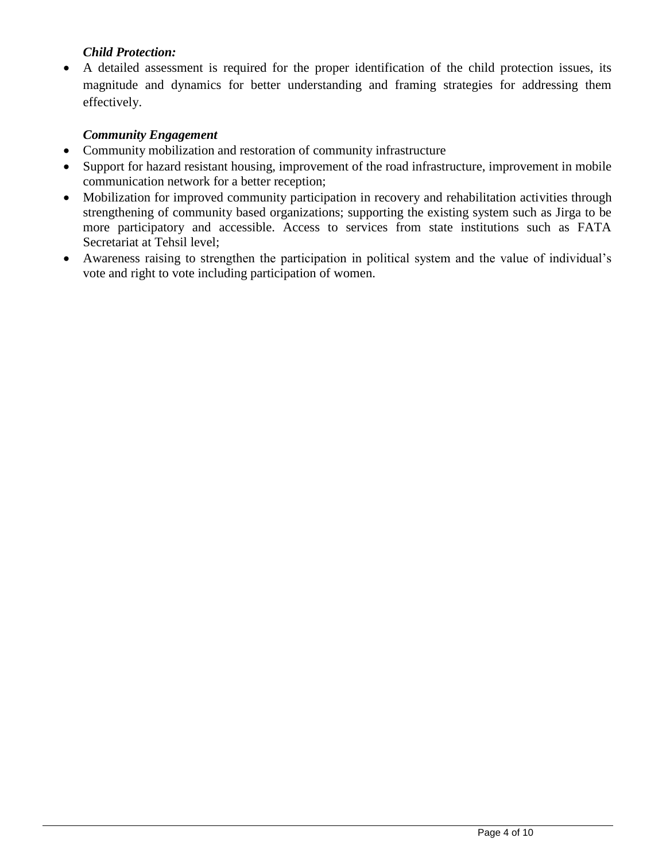## *Child Protection:*

 A detailed assessment is required for the proper identification of the child protection issues, its magnitude and dynamics for better understanding and framing strategies for addressing them effectively.

## *Community Engagement*

- Community mobilization and restoration of community infrastructure
- Support for hazard resistant housing, improvement of the road infrastructure, improvement in mobile communication network for a better reception;
- Mobilization for improved community participation in recovery and rehabilitation activities through strengthening of community based organizations; supporting the existing system such as Jirga to be more participatory and accessible. Access to services from state institutions such as FATA Secretariat at Tehsil level;
- Awareness raising to strengthen the participation in political system and the value of individual's vote and right to vote including participation of women.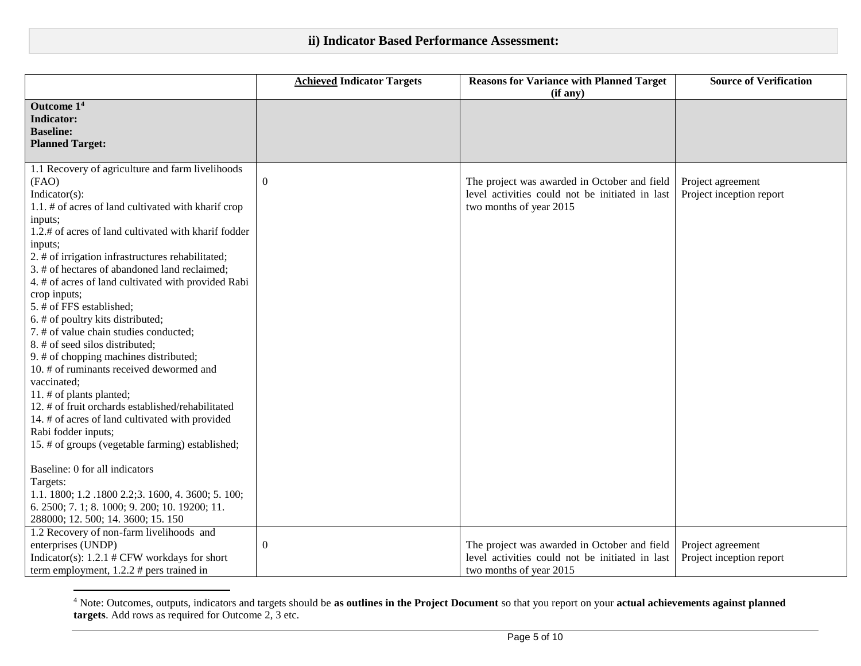## **ii) Indicator Based Performance Assessment:**

|                                                      | <b>Achieved Indicator Targets</b> | <b>Reasons for Variance with Planned Target</b><br>(if any) | <b>Source of Verification</b> |
|------------------------------------------------------|-----------------------------------|-------------------------------------------------------------|-------------------------------|
| Outcome 14                                           |                                   |                                                             |                               |
| <b>Indicator:</b>                                    |                                   |                                                             |                               |
| <b>Baseline:</b>                                     |                                   |                                                             |                               |
| <b>Planned Target:</b>                               |                                   |                                                             |                               |
| 1.1 Recovery of agriculture and farm livelihoods     |                                   |                                                             |                               |
| (FAO)                                                | $\mathbf{0}$                      | The project was awarded in October and field                | Project agreement             |
| Indicator(s):                                        |                                   | level activities could not be initiated in last             | Project inception report      |
| 1.1. # of acres of land cultivated with kharif crop  |                                   | two months of year 2015                                     |                               |
| inputs;                                              |                                   |                                                             |                               |
| 1.2.# of acres of land cultivated with kharif fodder |                                   |                                                             |                               |
| inputs;                                              |                                   |                                                             |                               |
| 2. # of irrigation infrastructures rehabilitated;    |                                   |                                                             |                               |
| 3. # of hectares of abandoned land reclaimed;        |                                   |                                                             |                               |
| 4. # of acres of land cultivated with provided Rabi  |                                   |                                                             |                               |
| crop inputs;                                         |                                   |                                                             |                               |
| 5. # of FFS established;                             |                                   |                                                             |                               |
| 6. # of poultry kits distributed;                    |                                   |                                                             |                               |
| 7. # of value chain studies conducted;               |                                   |                                                             |                               |
| 8. # of seed silos distributed;                      |                                   |                                                             |                               |
| 9. # of chopping machines distributed;               |                                   |                                                             |                               |
| 10. # of ruminants received dewormed and             |                                   |                                                             |                               |
| vaccinated;                                          |                                   |                                                             |                               |
| 11. # of plants planted;                             |                                   |                                                             |                               |
| 12. # of fruit orchards established/rehabilitated    |                                   |                                                             |                               |
| 14. # of acres of land cultivated with provided      |                                   |                                                             |                               |
| Rabi fodder inputs;                                  |                                   |                                                             |                               |
| 15. # of groups (vegetable farming) established;     |                                   |                                                             |                               |
| Baseline: 0 for all indicators                       |                                   |                                                             |                               |
| Targets:                                             |                                   |                                                             |                               |
| 1.1. 1800; 1.2.1800 2.2; 3.1600, 4.3600; 5.100;      |                                   |                                                             |                               |
| 6. 2500; 7. 1; 8. 1000; 9. 200; 10. 19200; 11.       |                                   |                                                             |                               |
| 288000; 12. 500; 14. 3600; 15. 150                   |                                   |                                                             |                               |
| 1.2 Recovery of non-farm livelihoods and             |                                   |                                                             |                               |
| enterprises (UNDP)                                   | $\boldsymbol{0}$                  | The project was awarded in October and field                | Project agreement             |
| Indicator(s): $1.2.1$ # CFW workdays for short       |                                   | level activities could not be initiated in last             | Project inception report      |
| term employment, $1.2.2 \#$ pers trained in          |                                   | two months of year 2015                                     |                               |

<sup>4</sup> Note: Outcomes, outputs, indicators and targets should be **as outlines in the Project Document** so that you report on your **actual achievements against planned targets**. Add rows as required for Outcome 2, 3 etc.

 $\overline{a}$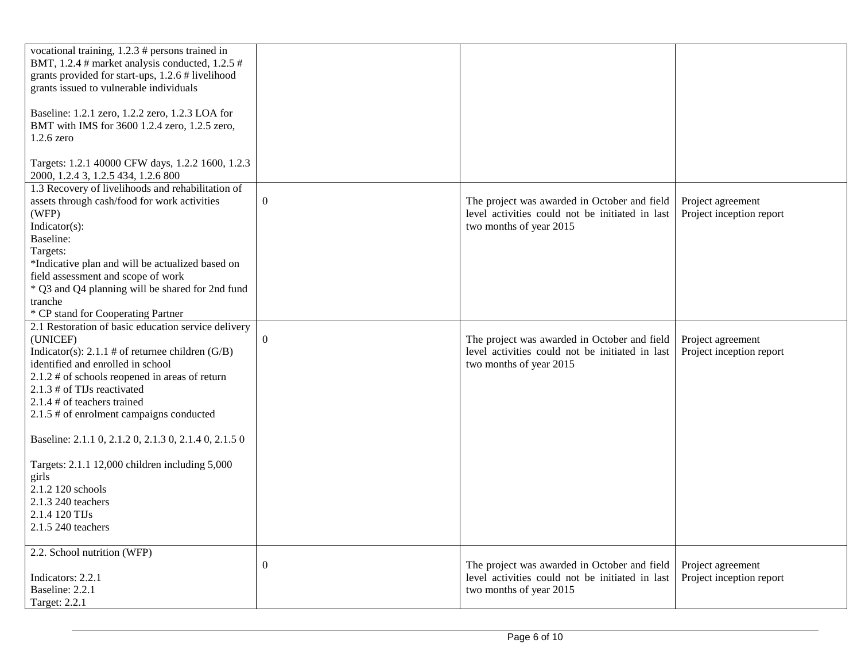| vocational training, $1.2.3$ # persons trained in<br>BMT, 1.2.4 # market analysis conducted, 1.2.5 #<br>grants provided for start-ups, 1.2.6 # livelihood<br>grants issued to vulnerable individuals<br>Baseline: 1.2.1 zero, 1.2.2 zero, 1.2.3 LOA for<br>BMT with IMS for 3600 1.2.4 zero, 1.2.5 zero,                                                                                                                                                                  |                  |                                                                                                                            |                                               |
|---------------------------------------------------------------------------------------------------------------------------------------------------------------------------------------------------------------------------------------------------------------------------------------------------------------------------------------------------------------------------------------------------------------------------------------------------------------------------|------------------|----------------------------------------------------------------------------------------------------------------------------|-----------------------------------------------|
| $1.2.6$ zero                                                                                                                                                                                                                                                                                                                                                                                                                                                              |                  |                                                                                                                            |                                               |
| Targets: 1.2.1 40000 CFW days, 1.2.2 1600, 1.2.3<br>2000, 1.2.4 3, 1.2.5 434, 1.2.6 800                                                                                                                                                                                                                                                                                                                                                                                   |                  |                                                                                                                            |                                               |
| 1.3 Recovery of livelihoods and rehabilitation of<br>assets through cash/food for work activities<br>(WFP)<br>$Indicator(s)$ :<br><b>Baseline:</b>                                                                                                                                                                                                                                                                                                                        | $\boldsymbol{0}$ | The project was awarded in October and field<br>level activities could not be initiated in last<br>two months of year 2015 | Project agreement<br>Project inception report |
| Targets:<br>*Indicative plan and will be actualized based on<br>field assessment and scope of work<br>* Q3 and Q4 planning will be shared for 2nd fund<br>tranche<br>* CP stand for Cooperating Partner                                                                                                                                                                                                                                                                   |                  |                                                                                                                            |                                               |
| 2.1 Restoration of basic education service delivery<br>(UNICEF)<br>Indicator(s): $2.1.1 \text{ } \#$ of returnee children (G/B)<br>identified and enrolled in school<br>2.1.2 # of schools reopened in areas of return<br>2.1.3 # of TIJs reactivated<br>2.1.4 # of teachers trained<br>2.1.5 # of enrolment campaigns conducted<br>Baseline: 2.1.1 0, 2.1.2 0, 2.1.3 0, 2.1.4 0, 2.1.5 0<br>Targets: 2.1.1 12,000 children including 5,000<br>girls<br>2.1.2 120 schools | $\mathbf{0}$     | The project was awarded in October and field<br>level activities could not be initiated in last<br>two months of year 2015 | Project agreement<br>Project inception report |
| 2.1.3 240 teachers<br>2.1.4 120 TIJs<br>2.1.5 240 teachers                                                                                                                                                                                                                                                                                                                                                                                                                |                  |                                                                                                                            |                                               |
| 2.2. School nutrition (WFP)<br>Indicators: 2.2.1<br>Baseline: 2.2.1<br><b>Target: 2.2.1</b>                                                                                                                                                                                                                                                                                                                                                                               | $\boldsymbol{0}$ | The project was awarded in October and field<br>level activities could not be initiated in last<br>two months of year 2015 | Project agreement<br>Project inception report |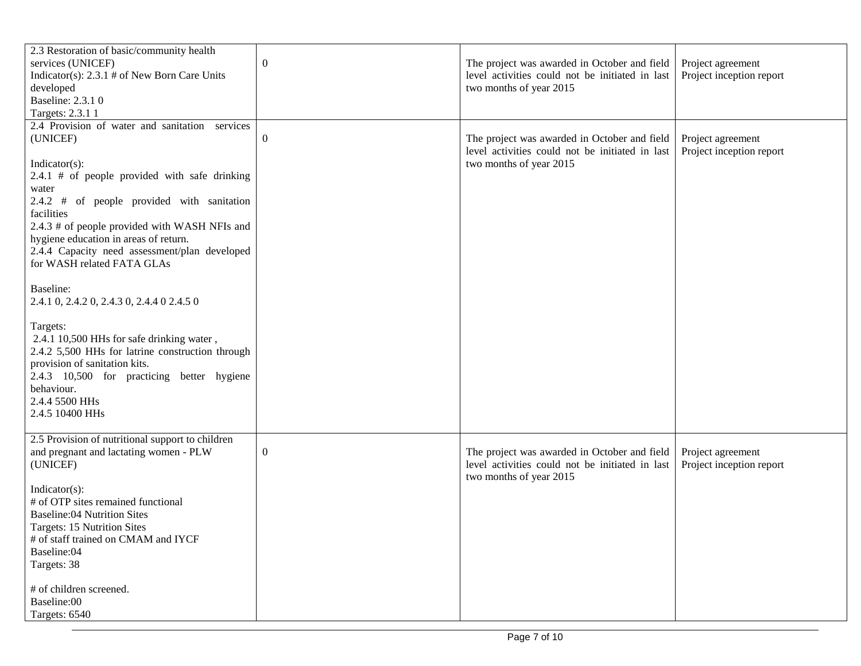| 2.3 Restoration of basic/community health                |                  |                                                 |                          |
|----------------------------------------------------------|------------------|-------------------------------------------------|--------------------------|
| services (UNICEF)                                        | $\boldsymbol{0}$ | The project was awarded in October and field    | Project agreement        |
| Indicator(s): $2.3.1 \text{ } \#$ of New Born Care Units |                  | level activities could not be initiated in last | Project inception report |
| developed                                                |                  | two months of year 2015                         |                          |
| Baseline: 2.3.1 0                                        |                  |                                                 |                          |
| Targets: 2.3.1 1                                         |                  |                                                 |                          |
|                                                          |                  |                                                 |                          |
| 2.4 Provision of water and sanitation services           |                  |                                                 |                          |
| (UNICEF)                                                 | $\overline{0}$   | The project was awarded in October and field    | Project agreement        |
|                                                          |                  | level activities could not be initiated in last | Project inception report |
| $Indicator(s)$ :                                         |                  | two months of year 2015                         |                          |
| $2.4.1$ # of people provided with safe drinking          |                  |                                                 |                          |
| water                                                    |                  |                                                 |                          |
| 2.4.2 # of people provided with sanitation               |                  |                                                 |                          |
| facilities                                               |                  |                                                 |                          |
| 2.4.3 # of people provided with WASH NFIs and            |                  |                                                 |                          |
| hygiene education in areas of return.                    |                  |                                                 |                          |
| 2.4.4 Capacity need assessment/plan developed            |                  |                                                 |                          |
| for WASH related FATA GLAs                               |                  |                                                 |                          |
|                                                          |                  |                                                 |                          |
| Baseline:                                                |                  |                                                 |                          |
|                                                          |                  |                                                 |                          |
| 2.4.1 0, 2.4.2 0, 2.4.3 0, 2.4.4 0 2.4.5 0               |                  |                                                 |                          |
|                                                          |                  |                                                 |                          |
| Targets:                                                 |                  |                                                 |                          |
| 2.4.1 10,500 HHs for safe drinking water,                |                  |                                                 |                          |
| 2.4.2 5,500 HHs for latrine construction through         |                  |                                                 |                          |
| provision of sanitation kits.                            |                  |                                                 |                          |
| 2.4.3 10,500 for practicing better hygiene               |                  |                                                 |                          |
| behaviour.                                               |                  |                                                 |                          |
| 2.4.4 5500 HHs                                           |                  |                                                 |                          |
| 2.4.5 10400 HHs                                          |                  |                                                 |                          |
|                                                          |                  |                                                 |                          |
| 2.5 Provision of nutritional support to children         |                  |                                                 |                          |
| and pregnant and lactating women - PLW                   | $\boldsymbol{0}$ | The project was awarded in October and field    | Project agreement        |
| (UNICEF)                                                 |                  | level activities could not be initiated in last | Project inception report |
|                                                          |                  | two months of year 2015                         |                          |
| $Indicator(s)$ :                                         |                  |                                                 |                          |
|                                                          |                  |                                                 |                          |
| # of OTP sites remained functional                       |                  |                                                 |                          |
| <b>Baseline:04 Nutrition Sites</b>                       |                  |                                                 |                          |
| Targets: 15 Nutrition Sites                              |                  |                                                 |                          |
| # of staff trained on CMAM and IYCF                      |                  |                                                 |                          |
| Baseline:04                                              |                  |                                                 |                          |
| Targets: 38                                              |                  |                                                 |                          |
|                                                          |                  |                                                 |                          |
| # of children screened.                                  |                  |                                                 |                          |
| Baseline:00                                              |                  |                                                 |                          |
| Targets: 6540                                            |                  |                                                 |                          |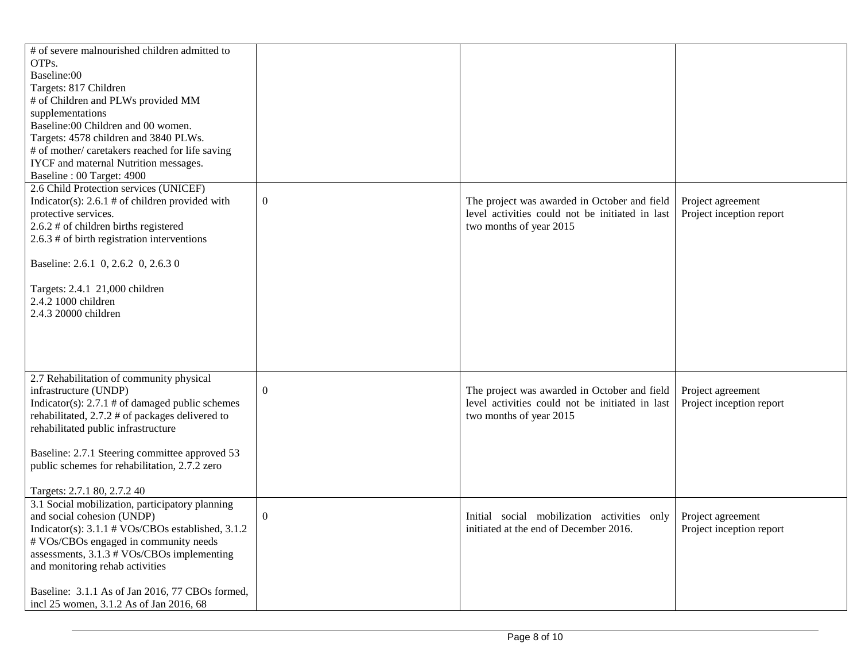| # of severe malnourished children admitted to<br>OTPs.<br>Baseline:00<br>Targets: 817 Children<br># of Children and PLWs provided MM<br>supplementations<br>Baseline:00 Children and 00 women.<br>Targets: 4578 children and 3840 PLWs.<br># of mother/ caretakers reached for life saving<br>IYCF and maternal Nutrition messages.<br>Baseline: 00 Target: 4900 |                |                                                                                                                            |                                               |
|------------------------------------------------------------------------------------------------------------------------------------------------------------------------------------------------------------------------------------------------------------------------------------------------------------------------------------------------------------------|----------------|----------------------------------------------------------------------------------------------------------------------------|-----------------------------------------------|
| 2.6 Child Protection services (UNICEF)<br>Indicator(s): $2.6.1 \text{ } \#$ of children provided with<br>protective services.<br>2.6.2 # of children births registered<br>$2.6.3$ # of birth registration interventions<br>Baseline: 2.6.1 0, 2.6.2 0, 2.6.3 0<br>Targets: 2.4.1 21,000 children<br>2.4.2 1000 children<br>2.4.3 20000 children                  | $\overline{0}$ | The project was awarded in October and field<br>level activities could not be initiated in last<br>two months of year 2015 | Project agreement<br>Project inception report |
| 2.7 Rehabilitation of community physical<br>infrastructure (UNDP)<br>Indicator(s): $2.7.1 \text{ } \#$ of damaged public schemes<br>rehabilitated, 2.7.2 # of packages delivered to<br>rehabilitated public infrastructure<br>Baseline: 2.7.1 Steering committee approved 53<br>public schemes for rehabilitation, 2.7.2 zero<br>Targets: 2.7.1 80, 2.7.2 40     | $\overline{0}$ | The project was awarded in October and field<br>level activities could not be initiated in last<br>two months of year 2015 | Project agreement<br>Project inception report |
| 3.1 Social mobilization, participatory planning<br>and social cohesion (UNDP)<br>Indicator(s): 3.1.1 # VOs/CBOs established, 3.1.2<br># VOs/CBOs engaged in community needs<br>assessments, 3.1.3 # VOs/CBOs implementing<br>and monitoring rehab activities<br>Baseline: 3.1.1 As of Jan 2016, 77 CBOs formed,<br>incl 25 women, 3.1.2 As of Jan 2016, 68       | $\Omega$       | Initial social mobilization activities only<br>initiated at the end of December 2016.                                      | Project agreement<br>Project inception report |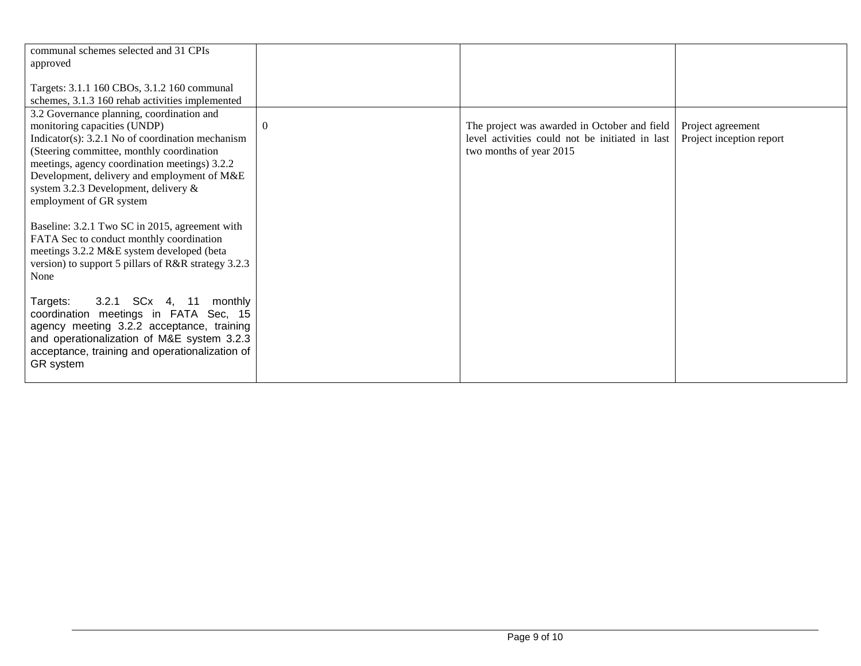| communal schemes selected and 31 CPIs               |                |                                                 |                          |
|-----------------------------------------------------|----------------|-------------------------------------------------|--------------------------|
| approved                                            |                |                                                 |                          |
|                                                     |                |                                                 |                          |
| Targets: 3.1.1 160 CBOs, 3.1.2 160 communal         |                |                                                 |                          |
| schemes, 3.1.3 160 rehab activities implemented     |                |                                                 |                          |
| 3.2 Governance planning, coordination and           |                |                                                 |                          |
| monitoring capacities (UNDP)                        | $\overline{0}$ | The project was awarded in October and field    | Project agreement        |
| Indicator(s): $3.2.1$ No of coordination mechanism  |                | level activities could not be initiated in last | Project inception report |
| (Steering committee, monthly coordination           |                | two months of year 2015                         |                          |
| meetings, agency coordination meetings) 3.2.2       |                |                                                 |                          |
| Development, delivery and employment of M&E         |                |                                                 |                          |
| system 3.2.3 Development, delivery &                |                |                                                 |                          |
| employment of GR system                             |                |                                                 |                          |
|                                                     |                |                                                 |                          |
| Baseline: 3.2.1 Two SC in 2015, agreement with      |                |                                                 |                          |
| FATA Sec to conduct monthly coordination            |                |                                                 |                          |
| meetings 3.2.2 M&E system developed (beta           |                |                                                 |                          |
| version) to support 5 pillars of R&R strategy 3.2.3 |                |                                                 |                          |
| None                                                |                |                                                 |                          |
|                                                     |                |                                                 |                          |
| 3.2.1 SCx 4, 11<br>Targets:<br>monthly              |                |                                                 |                          |
| coordination meetings in FATA Sec, 15               |                |                                                 |                          |
| agency meeting 3.2.2 acceptance, training           |                |                                                 |                          |
| and operationalization of M&E system 3.2.3          |                |                                                 |                          |
| acceptance, training and operationalization of      |                |                                                 |                          |
| GR system                                           |                |                                                 |                          |
|                                                     |                |                                                 |                          |